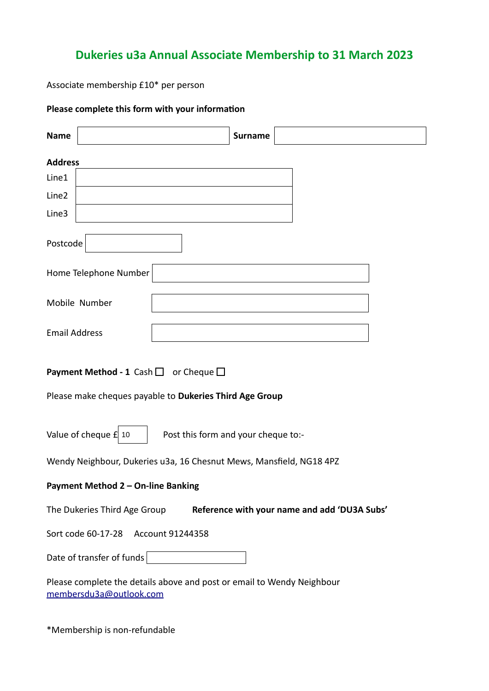## **Dukeries u3a Annual Associate Membership to 31 March 2023**

Associate membership £10\* per person

## **Please complete this form with your information**

| <b>Name</b>                                                                                                       |                                     | <b>Surname</b> |  |  |  |
|-------------------------------------------------------------------------------------------------------------------|-------------------------------------|----------------|--|--|--|
| <b>Address</b>                                                                                                    |                                     |                |  |  |  |
| Line1                                                                                                             |                                     |                |  |  |  |
| Line2                                                                                                             |                                     |                |  |  |  |
| Line3                                                                                                             |                                     |                |  |  |  |
| Postcode                                                                                                          |                                     |                |  |  |  |
|                                                                                                                   | Home Telephone Number               |                |  |  |  |
|                                                                                                                   | Mobile Number                       |                |  |  |  |
| <b>Email Address</b>                                                                                              |                                     |                |  |  |  |
| <b>Payment Method - 1</b> Cash $\Box$ or Cheque $\Box$<br>Please make cheques payable to Dukeries Third Age Group |                                     |                |  |  |  |
| Value of cheque $f$ 10<br>Post this form and your cheque to:-                                                     |                                     |                |  |  |  |
| Wendy Neighbour, Dukeries u3a, 16 Chesnut Mews, Mansfield, NG18 4PZ                                               |                                     |                |  |  |  |
| Payment Method 2 - On-line Banking                                                                                |                                     |                |  |  |  |
| Reference with your name and add 'DU3A Subs'<br>The Dukeries Third Age Group                                      |                                     |                |  |  |  |
|                                                                                                                   | Sort code 60-17-28 Account 91244358 |                |  |  |  |
| Date of transfer of funds   The Mate of transfer of funds   The Mate of the Mate of the Mate of the Mate of the   |                                     |                |  |  |  |
| Please complete the details above and post or email to Wendy Neighbour<br>membersdu3a@outlook.com                 |                                     |                |  |  |  |

\*Membership is non-refundable